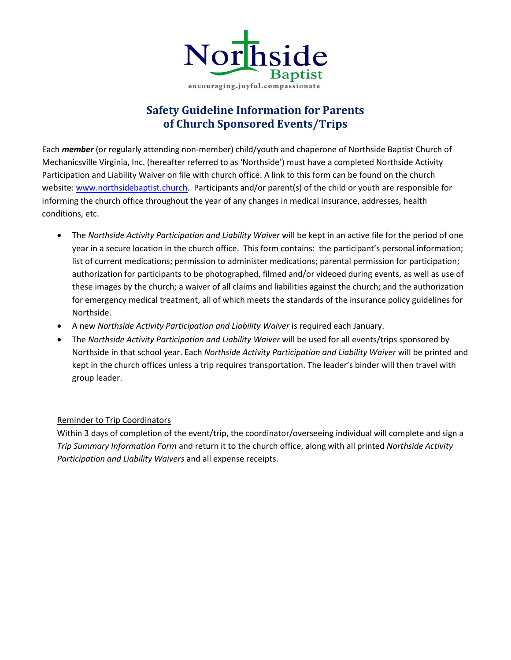

# **Safety Guideline Information for Parents of Church Sponsored Events/Trips**

Each *member* (or regularly attending non-member) child/youth and chaperone of Northside Baptist Church of Mechanicsville Virginia, Inc. (hereafter referred to as 'Northside') must have a completed Northside Activity Participation and Liability Waiver on file with church office. A link to this form can be found on the church website: [www.northsidebaptist.church.](http://www.northsidebaptist.church/) Participants and/or parent(s) of the child or youth are responsible for informing the church office throughout the year of any changes in medical insurance, addresses, health conditions, etc.

- The *Northside Activity Participation and Liability Waiver* will be kept in an active file for the period of one year in a secure location in the church office. This form contains: the participant's personal information; list of current medications; permission to administer medications; parental permission for participation; authorization for participants to be photographed, filmed and/or videoed during events, as well as use of these images by the church; a waiver of all claims and liabilities against the church; and the authorization for emergency medical treatment, all of which meets the standards of the insurance policy guidelines for Northside.
- A new *Northside Activity Participation and Liability Waiver* is required each January.
- The *Northside Activity Participation and Liability Waiver* will be used for all events/trips sponsored by Northside in that school year. Each *Northside Activity Participation and Liability Waiver* will be printed and kept in the church offices unless a trip requires transportation. The leader's binder will then travel with group leader.

#### Reminder to Trip Coordinators

Within 3 days of completion of the event/trip, the coordinator/overseeing individual will complete and sign a *Trip Summary Information Form* and return it to the church office, along with all printed *Northside Activity Participation and Liability Waivers* and all expense receipts.